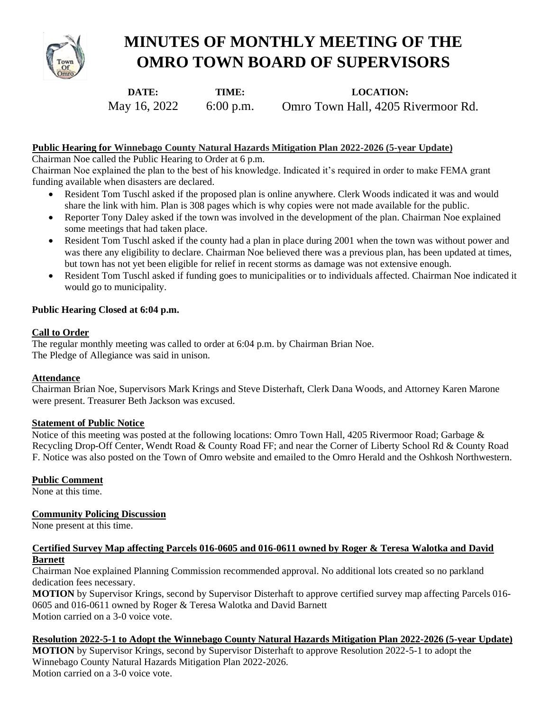

# **MINUTES OF MONTHLY MEETING OF THE OMRO TOWN BOARD OF SUPERVISORS**

**DATE:**  May 16, 2022

**LOCATION:**  Omro Town Hall, 4205 Rivermoor Rd.

# **Public Hearing for Winnebago County Natural Hazards Mitigation Plan 2022-2026 (5-year Update)**

**TIME:**  6:00 p.m.

Chairman Noe called the Public Hearing to Order at 6 p.m.

Chairman Noe explained the plan to the best of his knowledge. Indicated it's required in order to make FEMA grant funding available when disasters are declared.

- Resident Tom Tuschl asked if the proposed plan is online anywhere. Clerk Woods indicated it was and would share the link with him. Plan is 308 pages which is why copies were not made available for the public.
- Reporter Tony Daley asked if the town was involved in the development of the plan. Chairman Noe explained some meetings that had taken place.
- Resident Tom Tuschl asked if the county had a plan in place during 2001 when the town was without power and was there any eligibility to declare. Chairman Noe believed there was a previous plan, has been updated at times, but town has not yet been eligible for relief in recent storms as damage was not extensive enough.
- Resident Tom Tuschl asked if funding goes to municipalities or to individuals affected. Chairman Noe indicated it would go to municipality.

## **Public Hearing Closed at 6:04 p.m.**

## **Call to Order**

The regular monthly meeting was called to order at 6:04 p.m. by Chairman Brian Noe. The Pledge of Allegiance was said in unison.

#### **Attendance**

Chairman Brian Noe, Supervisors Mark Krings and Steve Disterhaft, Clerk Dana Woods, and Attorney Karen Marone were present. Treasurer Beth Jackson was excused.

#### **Statement of Public Notice**

Notice of this meeting was posted at the following locations: Omro Town Hall, 4205 Rivermoor Road; Garbage & Recycling Drop-Off Center, Wendt Road & County Road FF; and near the Corner of Liberty School Rd & County Road F. Notice was also posted on the Town of Omro website and emailed to the Omro Herald and the Oshkosh Northwestern.

#### **Public Comment**

None at this time.

# **Community Policing Discussion**

None present at this time.

# **Certified Survey Map affecting Parcels 016-0605 and 016-0611 owned by Roger & Teresa Walotka and David Barnett**

Chairman Noe explained Planning Commission recommended approval. No additional lots created so no parkland dedication fees necessary.

**MOTION** by Supervisor Krings, second by Supervisor Disterhaft to approve certified survey map affecting Parcels 016- 0605 and 016-0611 owned by Roger & Teresa Walotka and David Barnett Motion carried on a 3-0 voice vote.

**Resolution 2022-5-1 to Adopt the Winnebago County Natural Hazards Mitigation Plan 2022-2026 (5-year Update) MOTION** by Supervisor Krings, second by Supervisor Disterhaft to approve Resolution 2022-5-1 to adopt the Winnebago County Natural Hazards Mitigation Plan 2022-2026. Motion carried on a 3-0 voice vote.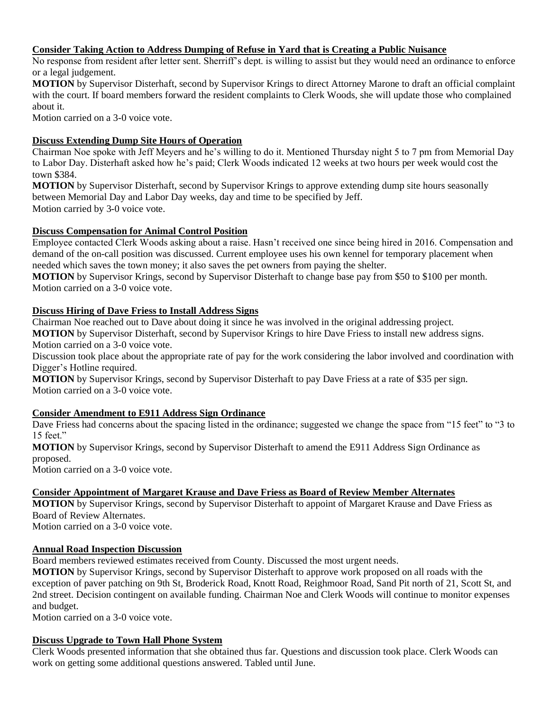# **Consider Taking Action to Address Dumping of Refuse in Yard that is Creating a Public Nuisance**

No response from resident after letter sent. Sherriff's dept. is willing to assist but they would need an ordinance to enforce or a legal judgement.

**MOTION** by Supervisor Disterhaft, second by Supervisor Krings to direct Attorney Marone to draft an official complaint with the court. If board members forward the resident complaints to Clerk Woods, she will update those who complained about it.

Motion carried on a 3-0 voice vote.

# **Discuss Extending Dump Site Hours of Operation**

Chairman Noe spoke with Jeff Meyers and he's willing to do it. Mentioned Thursday night 5 to 7 pm from Memorial Day to Labor Day. Disterhaft asked how he's paid; Clerk Woods indicated 12 weeks at two hours per week would cost the town \$384.

**MOTION** by Supervisor Disterhaft, second by Supervisor Krings to approve extending dump site hours seasonally between Memorial Day and Labor Day weeks, day and time to be specified by Jeff. Motion carried by 3-0 voice vote.

## **Discuss Compensation for Animal Control Position**

Employee contacted Clerk Woods asking about a raise. Hasn't received one since being hired in 2016. Compensation and demand of the on-call position was discussed. Current employee uses his own kennel for temporary placement when needed which saves the town money; it also saves the pet owners from paying the shelter.

**MOTION** by Supervisor Krings, second by Supervisor Disterhaft to change base pay from \$50 to \$100 per month. Motion carried on a 3-0 voice vote.

## **Discuss Hiring of Dave Friess to Install Address Signs**

Chairman Noe reached out to Dave about doing it since he was involved in the original addressing project.

**MOTION** by Supervisor Disterhaft, second by Supervisor Krings to hire Dave Friess to install new address signs. Motion carried on a 3-0 voice vote.

Discussion took place about the appropriate rate of pay for the work considering the labor involved and coordination with Digger's Hotline required.

**MOTION** by Supervisor Krings, second by Supervisor Disterhaft to pay Dave Friess at a rate of \$35 per sign. Motion carried on a 3-0 voice vote.

#### **Consider Amendment to E911 Address Sign Ordinance**

Dave Friess had concerns about the spacing listed in the ordinance; suggested we change the space from "15 feet" to "3 to 15 feet."

**MOTION** by Supervisor Krings, second by Supervisor Disterhaft to amend the E911 Address Sign Ordinance as proposed.

Motion carried on a 3-0 voice vote.

# **Consider Appointment of Margaret Krause and Dave Friess as Board of Review Member Alternates**

**MOTION** by Supervisor Krings, second by Supervisor Disterhaft to appoint of Margaret Krause and Dave Friess as Board of Review Alternates.

Motion carried on a 3-0 voice vote.

# **Annual Road Inspection Discussion**

Board members reviewed estimates received from County. Discussed the most urgent needs.

**MOTION** by Supervisor Krings, second by Supervisor Disterhaft to approve work proposed on all roads with the exception of paver patching on 9th St, Broderick Road, Knott Road, Reighmoor Road, Sand Pit north of 21, Scott St, and 2nd street. Decision contingent on available funding. Chairman Noe and Clerk Woods will continue to monitor expenses and budget.

Motion carried on a 3-0 voice vote.

#### **Discuss Upgrade to Town Hall Phone System**

Clerk Woods presented information that she obtained thus far. Questions and discussion took place. Clerk Woods can work on getting some additional questions answered. Tabled until June.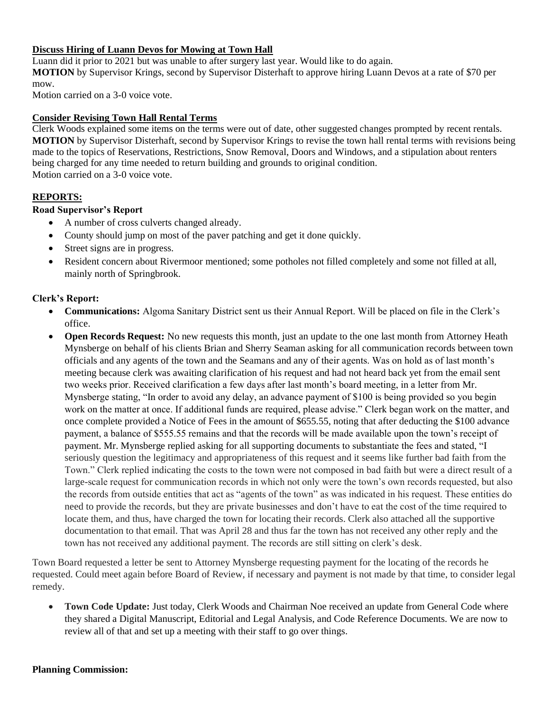# **Discuss Hiring of Luann Devos for Mowing at Town Hall**

Luann did it prior to 2021 but was unable to after surgery last year. Would like to do again. **MOTION** by Supervisor Krings, second by Supervisor Disterhaft to approve hiring Luann Devos at a rate of \$70 per mow.

Motion carried on a 3-0 voice vote.

#### **Consider Revising Town Hall Rental Terms**

Clerk Woods explained some items on the terms were out of date, other suggested changes prompted by recent rentals. **MOTION** by Supervisor Disterhaft, second by Supervisor Krings to revise the town hall rental terms with revisions being made to the topics of Reservations, Restrictions, Snow Removal, Doors and Windows, and a stipulation about renters being charged for any time needed to return building and grounds to original condition. Motion carried on a 3-0 voice vote.

# **REPORTS:**

## **Road Supervisor's Report**

- A number of cross culverts changed already.
- County should jump on most of the paver patching and get it done quickly.
- Street signs are in progress.
- Resident concern about Rivermoor mentioned; some potholes not filled completely and some not filled at all, mainly north of Springbrook.

## **Clerk's Report:**

- **Communications:** Algoma Sanitary District sent us their Annual Report. Will be placed on file in the Clerk's office.
- **Open Records Request:** No new requests this month, just an update to the one last month from Attorney Heath Mynsberge on behalf of his clients Brian and Sherry Seaman asking for all communication records between town officials and any agents of the town and the Seamans and any of their agents. Was on hold as of last month's meeting because clerk was awaiting clarification of his request and had not heard back yet from the email sent two weeks prior. Received clarification a few days after last month's board meeting, in a letter from Mr. Mynsberge stating, "In order to avoid any delay, an advance payment of \$100 is being provided so you begin work on the matter at once. If additional funds are required, please advise." Clerk began work on the matter, and once complete provided a Notice of Fees in the amount of \$655.55, noting that after deducting the \$100 advance payment, a balance of \$555.55 remains and that the records will be made available upon the town's receipt of payment. Mr. Mynsberge replied asking for all supporting documents to substantiate the fees and stated, "I seriously question the legitimacy and appropriateness of this request and it seems like further bad faith from the Town." Clerk replied indicating the costs to the town were not composed in bad faith but were a direct result of a large-scale request for communication records in which not only were the town's own records requested, but also the records from outside entities that act as "agents of the town" as was indicated in his request. These entities do need to provide the records, but they are private businesses and don't have to eat the cost of the time required to locate them, and thus, have charged the town for locating their records. Clerk also attached all the supportive documentation to that email. That was April 28 and thus far the town has not received any other reply and the town has not received any additional payment. The records are still sitting on clerk's desk.

Town Board requested a letter be sent to Attorney Mynsberge requesting payment for the locating of the records he requested. Could meet again before Board of Review, if necessary and payment is not made by that time, to consider legal remedy.

• **Town Code Update:** Just today, Clerk Woods and Chairman Noe received an update from General Code where they shared a Digital Manuscript, Editorial and Legal Analysis, and Code Reference Documents. We are now to review all of that and set up a meeting with their staff to go over things.